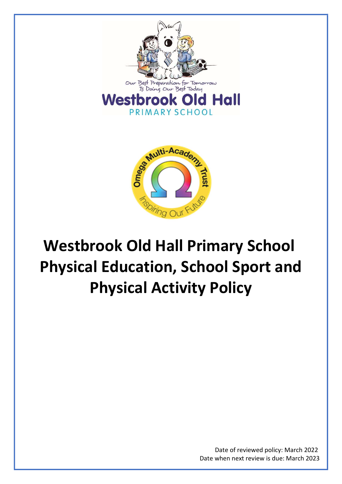



# Westbrook Old Hall Primary School Physical Education, School Sport and Physical Activity Policy

Date of reviewed policy: March 2022 Date when next review is due: March 2023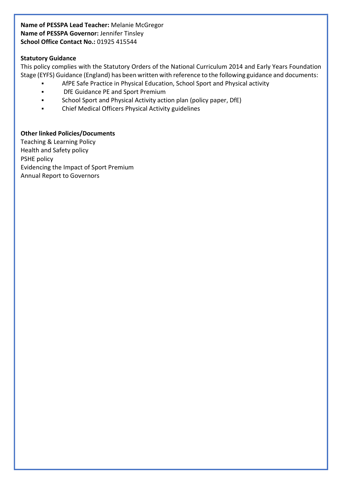## Name of PESSPA Lead Teacher: Melanie McGregor Name of PESSPA Governor: Jennifer Tinsley School Office Contact No.: 01925 415544

## Statutory Guidance

This policy complies with the Statutory Orders of the National Curriculum 2014 and Early Years Foundation Stage (EYFS) Guidance (England) has been written with reference to the following guidance and documents:

- AfPE Safe Practice in Physical Education, School Sport and Physical activity
- **•** DfE Guidance PE and Sport Premium
- School Sport and Physical Activity action plan (policy paper, DfE)
- Chief Medical Officers Physical Activity guidelines

## Other linked Policies/Documents

Teaching & Learning Policy Health and Safety policy PSHE policy Evidencing the Impact of Sport Premium Annual Report to Governors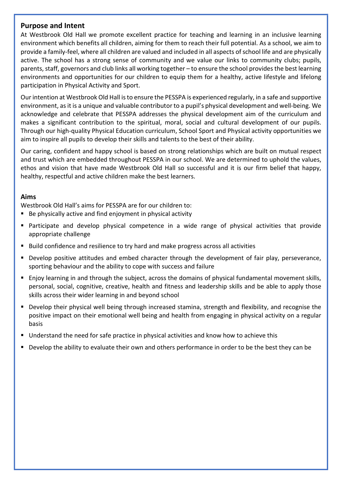# Purpose and Intent

At Westbrook Old Hall we promote excellent practice for teaching and learning in an inclusive learning environment which benefits all children, aiming for them to reach their full potential. As a school, we aim to provide a family-feel, where all children are valued and included in all aspects of school life and are physically active. The school has a strong sense of community and we value our links to community clubs; pupils, parents, staff, governors and club links all working together – to ensure the school provides the best learning environments and opportunities for our children to equip them for a healthy, active lifestyle and lifelong participation in Physical Activity and Sport.

Our intention at Westbrook Old Hall is to ensure the PESSPA is experienced regularly, in a safe and supportive environment, as it is a unique and valuable contributor to a pupil's physical development and well-being. We acknowledge and celebrate that PESSPA addresses the physical development aim of the curriculum and makes a significant contribution to the spiritual, moral, social and cultural development of our pupils. Through our high-quality Physical Education curriculum, School Sport and Physical activity opportunities we aim to inspire all pupils to develop their skills and talents to the best of their ability.

Our caring, confident and happy school is based on strong relationships which are built on mutual respect and trust which are embedded throughout PESSPA in our school. We are determined to uphold the values, ethos and vision that have made Westbrook Old Hall so successful and it is our firm belief that happy, healthy, respectful and active children make the best learners.

## Aims

Westbrook Old Hall's aims for PESSPA are for our children to:

- Be physically active and find enjoyment in physical activity
- Participate and develop physical competence in a wide range of physical activities that provide appropriate challenge
- Build confidence and resilience to try hard and make progress across all activities
- Develop positive attitudes and embed character through the development of fair play, perseverance, sporting behaviour and the ability to cope with success and failure
- Enjoy learning in and through the subject, across the domains of physical fundamental movement skills, personal, social, cognitive, creative, health and fitness and leadership skills and be able to apply those skills across their wider learning in and beyond school
- **Develop their physical well being through increased stamina, strength and flexibility, and recognise the** positive impact on their emotional well being and health from engaging in physical activity on a regular basis
- Understand the need for safe practice in physical activities and know how to achieve this
- Develop the ability to evaluate their own and others performance in order to be the best they can be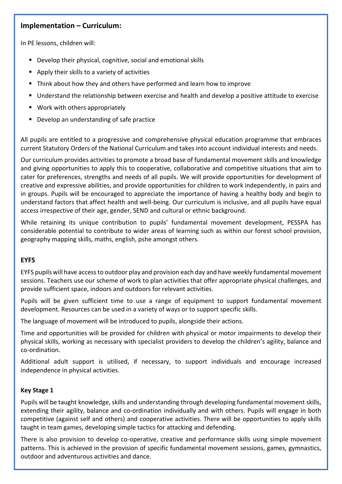# Implementation – Curriculum:

In PE lessons, children will:

- Develop their physical, cognitive, social and emotional skills
- **Apply their skills to a variety of activities**
- **Think about how they and others have performed and learn how to improve**
- Understand the relationship between exercise and health and develop a positive attitude to exercise
- Work with others appropriately
- **Develop an understanding of safe practice**

All pupils are entitled to a progressive and comprehensive physical education programme that embraces current Statutory Orders of the National Curriculum and takes into account individual interests and needs.

Our curriculum provides activities to promote a broad base of fundamental movement skills and knowledge and giving opportunities to apply this to cooperative, collaborative and competitive situations that aim to cater for preferences, strengths and needs of all pupils. We will provide opportunities for development of creative and expressive abilities, and provide opportunities for children to work independently, in pairs and in groups. Pupils will be encouraged to appreciate the importance of having a healthy body and begin to understand factors that affect health and well-being. Our curriculum is inclusive, and all pupils have equal access irrespective of their age, gender, SEND and cultural or ethnic background.

While retaining its unique contribution to pupils' fundamental movement development, PESSPA has considerable potential to contribute to wider areas of learning such as within our forest school provision, geography mapping skills, maths, english, pshe amongst others.

## EYFS

EYFS pupils will have access to outdoor play and provision each day and have weekly fundamental movement sessions. Teachers use our scheme of work to plan activities that offer appropriate physical challenges, and provide sufficient space, indoors and outdoors for relevant activities.

Pupils will be given sufficient time to use a range of equipment to support fundamental movement development. Resources can be used in a variety of ways or to support specific skills.

The language of movement will be introduced to pupils, alongside their actions.

Time and opportunities will be provided for children with physical or motor impairments to develop their physical skills, working as necessary with specialist providers to develop the children's agility, balance and co-ordination.

Additional adult support is utilised, if necessary, to support individuals and encourage increased independence in physical activities.

## Key Stage 1

Pupils will be taught knowledge, skills and understanding through developing fundamental movement skills, extending their agility, balance and co-ordination individually and with others. Pupils will engage in both competitive (against self and others) and cooperative activities. There will be opportunities to apply skills taught in team games, developing simple tactics for attacking and defending.

There is also provision to develop co-operative, creative and performance skills using simple movement patterns. This is achieved in the provision of specific fundamental movement sessions, games, gymnastics, outdoor and adventurous activities and dance.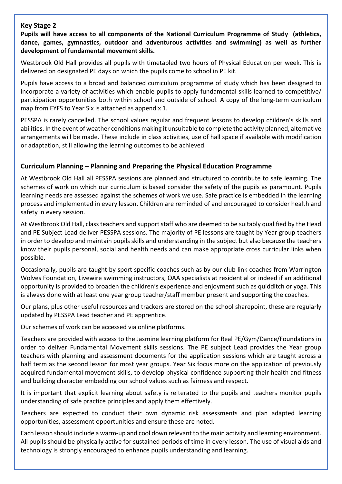## Key Stage 2

Pupils will have access to all components of the National Curriculum Programme of Study (athletics, dance, games, gymnastics, outdoor and adventurous activities and swimming) as well as further development of fundamental movement skills.

Westbrook Old Hall provides all pupils with timetabled two hours of Physical Education per week. This is delivered on designated PE days on which the pupils come to school in PE kit.

Pupils have access to a broad and balanced curriculum programme of study which has been designed to incorporate a variety of activities which enable pupils to apply fundamental skills learned to competitive/ participation opportunities both within school and outside of school. A copy of the long-term curriculum map from EYFS to Year Six is attached as appendix 1.

PESSPA is rarely cancelled. The school values regular and frequent lessons to develop children's skills and abilities. In the event of weather conditions making it unsuitable to complete the activity planned, alternative arrangements will be made. These include in class activities, use of hall space if available with modification or adaptation, still allowing the learning outcomes to be achieved.

## Curriculum Planning – Planning and Preparing the Physical Education Programme

At Westbrook Old Hall all PESSPA sessions are planned and structured to contribute to safe learning. The schemes of work on which our curriculum is based consider the safety of the pupils as paramount. Pupils learning needs are assessed against the schemes of work we use. Safe practice is embedded in the learning process and implemented in every lesson. Children are reminded of and encouraged to consider health and safety in every session.

At Westbrook Old Hall, class teachers and support staff who are deemed to be suitably qualified by the Head and PE Subject Lead deliver PESSPA sessions. The majority of PE lessons are taught by Year group teachers in order to develop and maintain pupils skills and understanding in the subject but also because the teachers know their pupils personal, social and health needs and can make appropriate cross curricular links when possible.

Occasionally, pupils are taught by sport specific coaches such as by our club link coaches from Warrington Wolves Foundation, Livewire swimming instructors, OAA specialists at residential or indeed if an additional opportunity is provided to broaden the children's experience and enjoyment such as quidditch or yoga. This is always done with at least one year group teacher/staff member present and supporting the coaches.

Our plans, plus other useful resources and trackers are stored on the school sharepoint, these are regularly updated by PESSPA Lead teacher and PE apprentice.

Our schemes of work can be accessed via online platforms.

Teachers are provided with access to the Jasmine learning platform for Real PE/Gym/Dance/Foundations in order to deliver Fundamental Movement skills sessions. The PE subject Lead provides the Year group teachers with planning and assessment documents for the application sessions which are taught across a half term as the second lesson for most year groups. Year Six focus more on the application of previously acquired fundamental movement skills, to develop physical confidence supporting their health and fitness and building character embedding our school values such as fairness and respect.

It is important that explicit learning about safety is reiterated to the pupils and teachers monitor pupils understanding of safe practice principles and apply them effectively.

Teachers are expected to conduct their own dynamic risk assessments and plan adapted learning opportunities, assessment opportunities and ensure these are noted.

Each lesson should include a warm-up and cool down relevant to the main activity and learning environment. All pupils should be physically active for sustained periods of time in every lesson. The use of visual aids and technology is strongly encouraged to enhance pupils understanding and learning.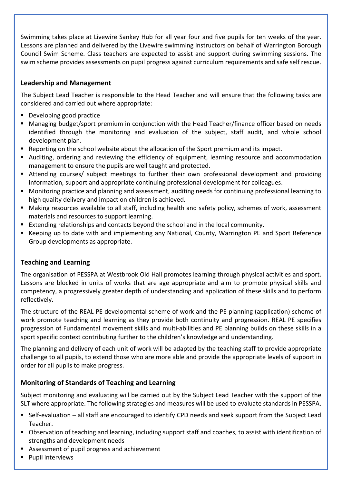Swimming takes place at Livewire Sankey Hub for all year four and five pupils for ten weeks of the year. Lessons are planned and delivered by the Livewire swimming instructors on behalf of Warrington Borough Council Swim Scheme. Class teachers are expected to assist and support during swimming sessions. The swim scheme provides assessments on pupil progress against curriculum requirements and safe self rescue.

# Leadership and Management

The Subject Lead Teacher is responsible to the Head Teacher and will ensure that the following tasks are considered and carried out where appropriate:

- Developing good practice
- Managing budget/sport premium in conjunction with the Head Teacher/finance officer based on needs identified through the monitoring and evaluation of the subject, staff audit, and whole school development plan.
- Reporting on the school website about the allocation of the Sport premium and its impact.
- Auditing, ordering and reviewing the efficiency of equipment, learning resource and accommodation management to ensure the pupils are well taught and protected.
- Attending courses/ subject meetings to further their own professional development and providing information, support and appropriate continuing professional development for colleagues.
- Monitoring practice and planning and assessment, auditing needs for continuing professional learning to high quality delivery and impact on children is achieved.
- Making resources available to all staff, including health and safety policy, schemes of work, assessment materials and resources to support learning.
- Extending relationships and contacts beyond the school and in the local community.
- Keeping up to date with and implementing any National, County, Warrington PE and Sport Reference Group developments as appropriate.

# Teaching and Learning

The organisation of PESSPA at Westbrook Old Hall promotes learning through physical activities and sport. Lessons are blocked in units of works that are age appropriate and aim to promote physical skills and competency, a progressively greater depth of understanding and application of these skills and to perform reflectively.

The structure of the REAL PE developmental scheme of work and the PE planning (application) scheme of work promote teaching and learning as they provide both continuity and progression. REAL PE specifies progression of Fundamental movement skills and multi-abilities and PE planning builds on these skills in a sport specific context contributing further to the children's knowledge and understanding.

The planning and delivery of each unit of work will be adapted by the teaching staff to provide appropriate challenge to all pupils, to extend those who are more able and provide the appropriate levels of support in order for all pupils to make progress.

# Monitoring of Standards of Teaching and Learning

Subject monitoring and evaluating will be carried out by the Subject Lead Teacher with the support of the SLT where appropriate. The following strategies and measures will be used to evaluate standards in PESSPA.

- Self-evaluation all staff are encouraged to identify CPD needs and seek support from the Subject Lead Teacher.
- Observation of teaching and learning, including support staff and coaches, to assist with identification of strengths and development needs
- Assessment of pupil progress and achievement
- **Pupil interviews**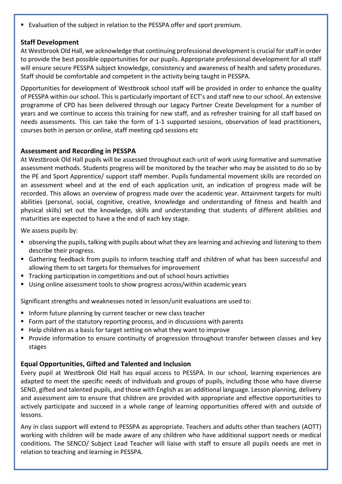Evaluation of the subject in relation to the PESSPA offer and sport premium.

## Staff Development

At Westbrook Old Hall, we acknowledge that continuing professional development is crucial for staff in order to provide the best possible opportunities for our pupils. Appropriate professional development for all staff will ensure secure PESSPA subject knowledge, consistency and awareness of health and safety procedures. Staff should be comfortable and competent in the activity being taught in PESSPA.

Opportunities for development of Westbrook school staff will be provided in order to enhance the quality of PESSPA within our school. This is particularly important of ECT's and staff new to our school. An extensive programme of CPD has been delivered through our Legacy Partner Create Development for a number of years and we continue to access this training for new staff, and as refresher training for all staff based on needs assessments. This can take the form of 1-1 supported sessions, observation of lead practitioners, courses both in person or online, staff meeting cpd sessions etc

## Assessment and Recording in PESSPA

At Westbrook Old Hall pupils will be assessed throughout each unit of work using formative and summative assessment methods. Students progress will be monitored by the teacher who may be assisted to do so by the PE and Sport Apprentice/ support staff member. Pupils fundamental movement skills are recorded on an assessment wheel and at the end of each application unit, an indication of progress made will be recorded. This allows an overview of progress made over the academic year. Attainment targets for multi abilities (personal, social, cognitive, creative, knowledge and understanding of fitness and health and physical skills) set out the knowledge, skills and understanding that students of different abilities and maturities are expected to have a the end of each key stage.

We assess pupils by:

- observing the pupils, talking with pupils about what they are learning and achieving and listening to them describe their progress.
- Gathering feedback from pupils to inform teaching staff and children of what has been successful and allowing them to set targets for themselves for improvement
- Tracking participation in competitions and out of school hours activities
- Using online assessment tools to show progress across/within academic years

Significant strengths and weaknesses noted in lesson/unit evaluations are used to:

- **Inform future planning by current teacher or new class teacher**
- Form part of the statutory reporting process, and in discussions with parents
- Help children as a basis for target setting on what they want to improve
- Provide information to ensure continuity of progression throughout transfer between classes and key stages

## Equal Opportunities, Gifted and Talented and Inclusion

Every pupil at Westbrook Old Hall has equal access to PESSPA. In our school, learning experiences are adapted to meet the specific needs of individuals and groups of pupils, including those who have diverse SEND, gifted and talented pupils, and those with English as an additional language. Lesson planning, delivery and assessment aim to ensure that children are provided with appropriate and effective opportunities to actively participate and succeed in a whole range of learning opportunities offered with and outside of lessons.

Any in class support will extend to PESSPA as appropriate. Teachers and adults other than teachers (AOTT) working with children will be made aware of any children who have additional support needs or medical conditions. The SENCO/ Subject Lead Teacher will liaise with staff to ensure all pupils needs are met in relation to teaching and learning in PESSPA.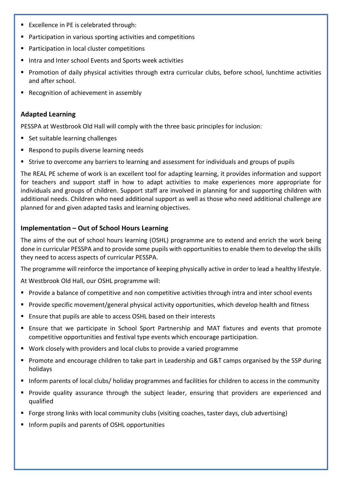- Excellence in PE is celebrated through:
- Participation in various sporting activities and competitions
- Participation in local cluster competitions
- Intra and Inter school Events and Sports week activities
- Promotion of daily physical activities through extra curricular clubs, before school, lunchtime activities and after school.
- Recognition of achievement in assembly

## Adapted Learning

PESSPA at Westbrook Old Hall will comply with the three basic principles for inclusion:

- Set suitable learning challenges
- Respond to pupils diverse learning needs
- Strive to overcome any barriers to learning and assessment for individuals and groups of pupils

The REAL PE scheme of work is an excellent tool for adapting learning, it provides information and support for teachers and support staff in how to adapt activities to make experiences more appropriate for individuals and groups of children. Support staff are involved in planning for and supporting children with additional needs. Children who need additional support as well as those who need additional challenge are planned for and given adapted tasks and learning objectives.

## Implementation – Out of School Hours Learning

The aims of the out of school hours learning (OSHL) programme are to extend and enrich the work being done in curricular PESSPA and to provide some pupils with opportunities to enable them to develop the skills they need to access aspects of curricular PESSPA.

The programme will reinforce the importance of keeping physically active in order to lead a healthy lifestyle.

At Westbrook Old Hall, our OSHL programme will:

- Provide a balance of competitive and non competitive activities through intra and inter school events
- Provide specific movement/general physical activity opportunities, which develop health and fitness
- Ensure that pupils are able to access OSHL based on their interests
- Ensure that we participate in School Sport Partnership and MAT fixtures and events that promote competitive opportunities and festival type events which encourage participation.
- Work closely with providers and local clubs to provide a varied programme
- **Promote and encourage children to take part in Leadership and G&T camps organised by the SSP during** holidays
- Inform parents of local clubs/ holiday programmes and facilities for children to access in the community
- Provide quality assurance through the subject leader, ensuring that providers are experienced and qualified
- Forge strong links with local community clubs (visiting coaches, taster days, club advertising)
- Inform pupils and parents of OSHL opportunities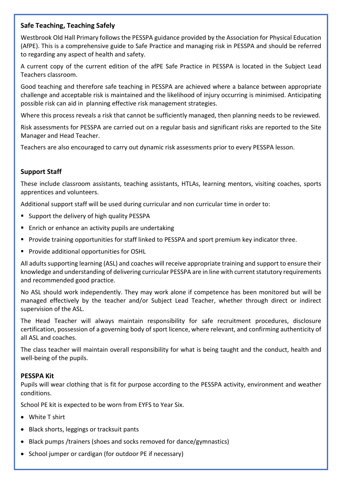## Safe Teaching, Teaching Safely

Westbrook Old Hall Primary follows the PESSPA guidance provided by the Association for Physical Education (AfPE). This is a comprehensive guide to Safe Practice and managing risk in PESSPA and should be referred to regarding any aspect of health and safety.

A current copy of the current edition of the afPE Safe Practice in PESSPA is located in the Subject Lead Teachers classroom.

Good teaching and therefore safe teaching in PESSPA are achieved where a balance between appropriate challenge and acceptable risk is maintained and the likelihood of injury occurring is minimised. Anticipating possible risk can aid in planning effective risk management strategies.

Where this process reveals a risk that cannot be sufficiently managed, then planning needs to be reviewed.

Risk assessments for PESSPA are carried out on a regular basis and significant risks are reported to the Site Manager and Head Teacher.

Teachers are also encouraged to carry out dynamic risk assessments prior to every PESSPA lesson.

## Support Staff

These include classroom assistants, teaching assistants, HTLAs, learning mentors, visiting coaches, sports apprentices and volunteers.

Additional support staff will be used during curricular and non curricular time in order to:

- **Support the delivery of high quality PESSPA**
- Enrich or enhance an activity pupils are undertaking
- Provide training opportunities for staff linked to PESSPA and sport premium key indicator three.
- **Provide additional opportunities for OSHL**

All adults supporting learning (ASL) and coaches will receive appropriate training and support to ensure their knowledge and understanding of delivering curricular PESSPA are in line with current statutory requirements and recommended good practice.

No ASL should work independently. They may work alone if competence has been monitored but will be managed effectively by the teacher and/or Subject Lead Teacher, whether through direct or indirect supervision of the ASL.

The Head Teacher will always maintain responsibility for safe recruitment procedures, disclosure certification, possession of a governing body of sport licence, where relevant, and confirming authenticity of all ASL and coaches.

The class teacher will maintain overall responsibility for what is being taught and the conduct, health and well-being of the pupils.

#### PESSPA Kit

Pupils will wear clothing that is fit for purpose according to the PESSPA activity, environment and weather conditions.

School PE kit is expected to be worn from EYFS to Year Six.

- White T shirt
- Black shorts, leggings or tracksuit pants
- Black pumps /trainers (shoes and socks removed for dance/gymnastics)
- School jumper or cardigan (for outdoor PE if necessary)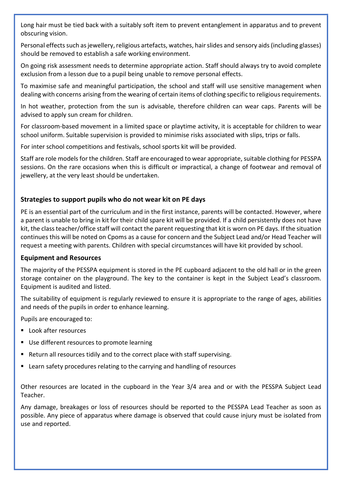Long hair must be tied back with a suitably soft item to prevent entanglement in apparatus and to prevent obscuring vision.

Personal effects such as jewellery, religious artefacts, watches, hair slides and sensory aids (including glasses) should be removed to establish a safe working environment.

On going risk assessment needs to determine appropriate action. Staff should always try to avoid complete exclusion from a lesson due to a pupil being unable to remove personal effects.

To maximise safe and meaningful participation, the school and staff will use sensitive management when dealing with concerns arising from the wearing of certain items of clothing specific to religious requirements.

In hot weather, protection from the sun is advisable, therefore children can wear caps. Parents will be advised to apply sun cream for children.

For classroom-based movement in a limited space or playtime activity, it is acceptable for children to wear school uniform. Suitable supervision is provided to minimise risks associated with slips, trips or falls.

For inter school competitions and festivals, school sports kit will be provided.

Staff are role models for the children. Staff are encouraged to wear appropriate, suitable clothing for PESSPA sessions. On the rare occasions when this is difficult or impractical, a change of footwear and removal of jewellery, at the very least should be undertaken.

# Strategies to support pupils who do not wear kit on PE days

PE is an essential part of the curriculum and in the first instance, parents will be contacted. However, where a parent is unable to bring in kit for their child spare kit will be provided. If a child persistently does not have kit, the class teacher/office staff will contact the parent requesting that kit is worn on PE days. If the situation continues this will be noted on Cpoms as a cause for concern and the Subject Lead and/or Head Teacher will request a meeting with parents. Children with special circumstances will have kit provided by school.

# Equipment and Resources

The majority of the PESSPA equipment is stored in the PE cupboard adjacent to the old hall or in the green storage container on the playground. The key to the container is kept in the Subject Lead's classroom. Equipment is audited and listed.

The suitability of equipment is regularly reviewed to ensure it is appropriate to the range of ages, abilities and needs of the pupils in order to enhance learning.

Pupils are encouraged to:

- Look after resources
- Use different resources to promote learning
- Return all resources tidily and to the correct place with staff supervising.
- Learn safety procedures relating to the carrying and handling of resources

Other resources are located in the cupboard in the Year 3/4 area and or with the PESSPA Subject Lead Teacher.

Any damage, breakages or loss of resources should be reported to the PESSPA Lead Teacher as soon as possible. Any piece of apparatus where damage is observed that could cause injury must be isolated from use and reported.